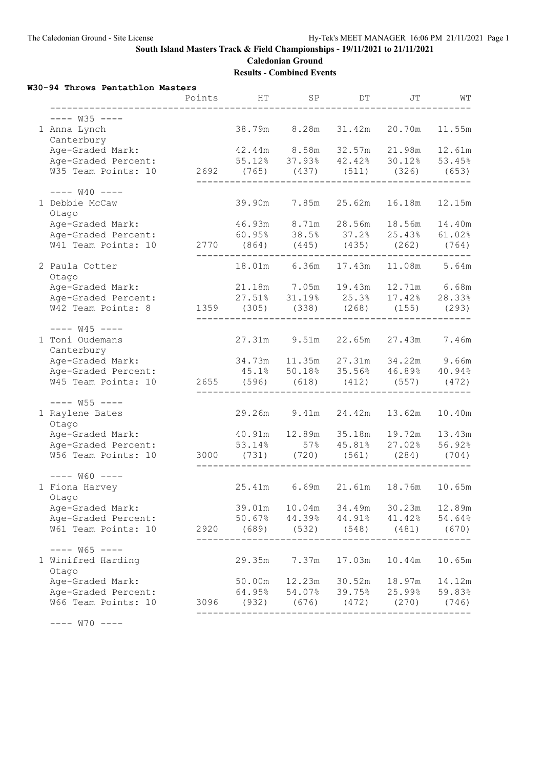**Caledonian Ground Results - Combined Events**

#### **W30-94 Throws Pentathlon Masters**

|                                                        | Points | HT               | SP                     | DT.          | JT                                                                                      | WТ     |
|--------------------------------------------------------|--------|------------------|------------------------|--------------|-----------------------------------------------------------------------------------------|--------|
| $-- W35$ $---$                                         |        |                  |                        |              |                                                                                         |        |
| 1 Anna Lynch<br>Canterbury                             |        | 38.79m           | 8.28m                  | 31.42m       | 20.70m                                                                                  | 11.55m |
| Age-Graded Mark:                                       |        |                  |                        |              | 42.44m 8.58m 32.57m 21.98m 12.61m                                                       |        |
| Age-Graded Percent:                                    |        |                  |                        |              | 55.12% 37.93% 42.42% 30.12% 53.45%                                                      |        |
| W35 Team Points: 10                                    |        |                  |                        |              | 2692 (765) (437) (511) (326) (653)                                                      |        |
| $-- W40$ $---$                                         |        |                  |                        |              |                                                                                         |        |
| 1 Debbie McCaw<br>Otago                                |        | 39.90m           |                        | 7.85m 25.62m | 16.18m                                                                                  | 12.15m |
| Age-Graded Mark:                                       |        |                  |                        |              | 46.93m 8.71m 28.56m 18.56m 14.40m                                                       |        |
| Age-Graded Percent:                                    |        |                  |                        |              | 60.95% 38.5% 37.2% 25.43% 61.02%                                                        |        |
| W41 Team Points: 10                                    |        |                  |                        |              | 2770 (864) (445) (435) (262) (764)                                                      |        |
| 2 Paula Cotter<br>Otago                                |        |                  | 18.01m 6.36m           |              | 17.43m  11.08m  5.64m                                                                   |        |
| Age-Graded Mark:                                       |        |                  |                        |              | 21.18m 7.05m 19.43m 12.71m 6.68m                                                        |        |
| Age-Graded Percent:                                    |        |                  |                        |              | $27.51\%$ 31.19% $25.3\%$ 17.42% 28.33%                                                 |        |
| W42 Team Points: 8                                     |        |                  |                        |              | 1359 (305) (338) (268) (155) (293)                                                      |        |
| $-- W45$ $---$                                         |        |                  |                        |              |                                                                                         |        |
| 1 Toni Oudemans<br>Canterbury                          |        |                  | 27.31m 9.51m           |              | 22.65m 27.43m                                                                           | 7.46m  |
| Age-Graded Mark:                                       |        |                  |                        |              | 34.73m 11.35m 27.31m 34.22m 9.66m                                                       |        |
| Age-Graded Percent:                                    |        |                  |                        |              | 45.1% 50.18% 35.56% 46.89%                                                              | 40.94% |
| W45 Team Points: 10 2655 (596) (618) (412) (557) (472) |        |                  |                        |              |                                                                                         |        |
| $--- W55 ---$                                          |        |                  |                        |              |                                                                                         |        |
| 1 Raylene Bates<br>Otago                               |        |                  | 29.26m 9.41m           | 24.42m       | 13.62m                                                                                  | 10.40m |
| Age-Graded Mark:                                       |        |                  | 40.91m  12.89m  35.18m |              | 19.72m  13.43m                                                                          |        |
| Age-Graded Percent:                                    |        |                  |                        |              | 53.14% 57% 45.81% 27.02% 56.92%                                                         |        |
| W56 Team Points: 10                                    | 3000   |                  | $(731)$ $(720)$        | (561)        | (284)                                                                                   | (704)  |
| $--- W60 ---$                                          |        |                  |                        |              |                                                                                         |        |
| 1 Fiona Harvey<br>Otago                                |        |                  |                        |              | 25.41m 6.69m 21.61m 18.76m 10.65m                                                       |        |
| Age-Graded Mark:                                       |        |                  |                        |              | 39.01m  10.04m  34.49m  30.23m  12.89m                                                  |        |
| Age-Graded Percent:                                    |        |                  |                        |              | 50.67% 44.39% 44.91% 41.42%                                                             | 54.64% |
| W61 Team Points: 10                                    |        |                  |                        |              | 2920 (689) (532) (548) (481) (670)                                                      |        |
| $--- W65 ---$                                          |        |                  |                        |              |                                                                                         |        |
| 1 Winifred Harding<br>Otago                            |        | 29.35m           | 7.37m                  | 17.03m       | 10.44m                                                                                  | 10.65m |
| Age-Graded Mark:                                       |        |                  |                        |              | 50.00m  12.23m  30.52m  18.97m  14.12m                                                  |        |
| Age-Graded Percent:                                    |        |                  |                        |              | $64.95\%$ $54.07\%$ $39.75\%$ $25.99\%$ $59.83\%$<br>3096 (932) (676) (472) (270) (746) |        |
| W66 Team Points: 10                                    |        | ________________ |                        |              | -------------------------------                                                         |        |
| $---$ W70 $---$                                        |        |                  |                        |              |                                                                                         |        |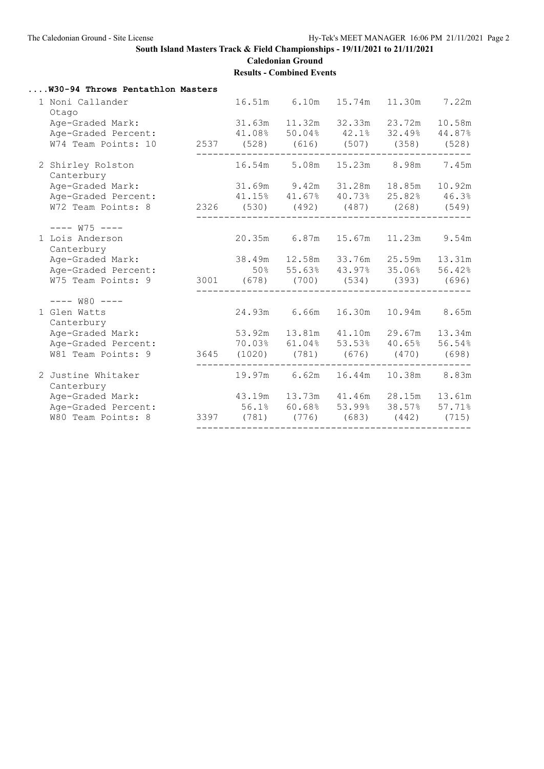#### **South Island Masters Track & Field Championships - 19/11/2021 to 21/11/2021 Caledonian Ground**

**Results - Combined Events**

| W30-94 Throws Pentathlon Masters                       |                                                |                     |        |                                  |        |
|--------------------------------------------------------|------------------------------------------------|---------------------|--------|----------------------------------|--------|
| 1 Noni Callander<br>Otago                              |                                                | 16.51m 6.10m        | 15.74m | 11.30m                           | 7.22m  |
| Age-Graded Mark:                                       | 31.63m  11.32m  32.33m  23.72m                 |                     |        |                                  | 10.58m |
| Age-Graded Percent:                                    | 41.08% 50.04% 42.1% 32.49% 44.87%              |                     |        |                                  |        |
| W74 Team Points: 10 2537 (528) (616) (507) (358) (528) |                                                |                     |        |                                  |        |
| 2 Shirley Rolston<br>Canterbury                        |                                                |                     |        | 16.54m 5.08m 15.23m 8.98m 7.45m  |        |
| Age-Graded Mark:                                       | 31.69m 9.42m 31.28m 18.85m 10.92m              |                     |        |                                  |        |
| Age-Graded Percent:                                    | 41.15% 41.67% 40.73% 25.82% 46.3%              |                     |        |                                  |        |
| W72 Team Points: 8 2326 (530) (492) (487) (268) (549)  |                                                |                     |        |                                  |        |
| $--- W75 ---$                                          |                                                |                     |        |                                  |        |
| 1 Lois Anderson<br>Canterbury                          | 20.35m 6.87m 15.67m 11.23m 9.54m               |                     |        |                                  |        |
| Age-Graded Mark:                                       | 38.49m  12.58m  33.76m  25.59m  13.31m         |                     |        |                                  |        |
| Age-Graded Percent:                                    | $50\%$ $55.63\%$ $43.97\%$ $35.06\%$ $56.42\%$ |                     |        |                                  |        |
| W75 Team Points: 9                                     | 3001 (678) (700) (534) (393) (696)             |                     |        |                                  |        |
| $-- W80$ $---$                                         |                                                |                     |        |                                  |        |
| 1 Glen Watts<br>Canterbury                             |                                                | 24.93m 6.66m 16.30m |        | 10.94m 8.65m                     |        |
| Age-Graded Mark:                                       | 53.92m 13.81m 41.10m 29.67m 13.34m             |                     |        |                                  |        |
| Age-Graded Percent:                                    | 70.03% 61.04% 53.53% 40.65% 56.54%             |                     |        |                                  |        |
| W81 Team Points: 9                                     | 3645 (1020) (781) (676) (470) (698)            |                     |        |                                  |        |
| 2 Justine Whitaker<br>Canterbury                       |                                                |                     |        | 19.97m 6.62m 16.44m 10.38m 8.83m |        |
| Age-Graded Mark:                                       | 43.19m 13.73m 41.46m 28.15m 13.61m             |                     |        |                                  |        |
| Age-Graded Percent:                                    | 56.1% 60.68% 53.99% 38.57% 57.71%              |                     |        |                                  |        |
| W80 Team Points: 8                                     | 3397 (781) (776) (683)                         |                     |        | (442)                            | (715)  |
|                                                        |                                                |                     |        |                                  |        |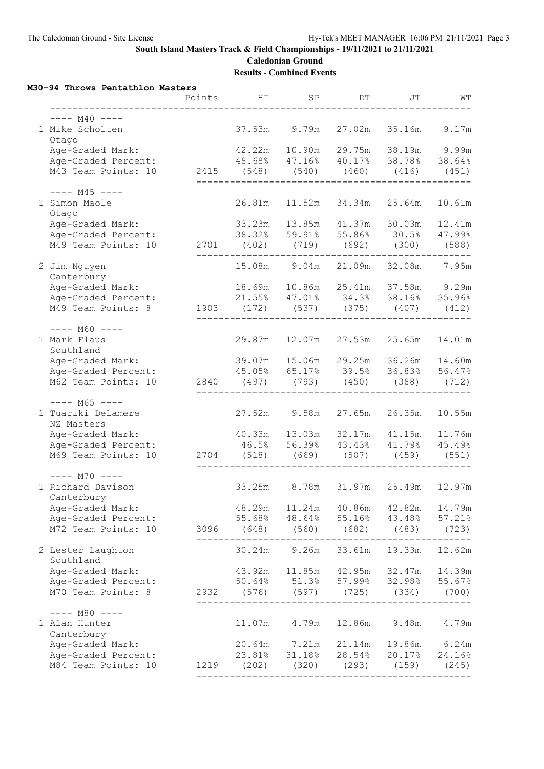**Caledonian Ground Results - Combined Events**

**M30-94 Throws Pentathlon Masters**

|                                  | Points | HT                     | SP             | DT                  | JΤ                                 | WТ     |
|----------------------------------|--------|------------------------|----------------|---------------------|------------------------------------|--------|
| $--- M40 ---$                    |        |                        |                |                     |                                    |        |
| 1 Mike Scholten<br>Otago         |        | 37.53m                 | 9.79m          | 27.02m              | 35.16m                             | 9.17m  |
| Age-Graded Mark:                 |        | 42.22m 10.90m          |                |                     | 29.75m 38.19m 9.99m                |        |
| Age-Graded Percent:              |        |                        |                |                     | 48.68% 47.16% 40.17% 38.78% 38.64% |        |
| M43 Team Points: 10              |        | 2415 (548) (540) (460) |                |                     | (416)                              | (451)  |
| $--- M45 ---$<br>1 Simon Maole   |        |                        | 26.81m  11.52m | 34.34m              | 25.64m                             | 10.61m |
| Otago<br>Age-Graded Mark:        |        | 33.23m 13.85m          |                |                     | 41.37m 30.03m                      |        |
| Age-Graded Percent:              |        |                        |                |                     | 38.32% 59.91% 55.86% 30.5% 47.99%  | 12.41m |
|                                  |        |                        |                |                     |                                    |        |
| M49 Team Points: 10              |        |                        |                |                     | 2701 (402) (719) (692) (300) (588) |        |
| 2 Jim Nguyen<br>Canterbury       |        |                        | 15.08m 9.04m   |                     | 21.09m 32.08m 7.95m                |        |
| Age-Graded Mark:                 |        |                        |                |                     | 18.69m 10.86m 25.41m 37.58m 9.29m  |        |
| Age-Graded Percent:              |        |                        |                | 21.55% 47.01% 34.3% | 38.16% 35.96%                      |        |
| M49 Team Points: 8               | 1903   | (172)                  | (537)          | (375)               | (407)                              | (412)  |
| $--- M60 ---$                    |        |                        |                |                     |                                    |        |
| 1 Mark Flaus<br>Southland        |        |                        | 29.87m 12.07m  | 27.53m              | 25.65m                             | 14.01m |
| Age-Graded Mark:                 |        |                        |                |                     | 39.07m 15.06m 29.25m 36.26m 14.60m |        |
| Age-Graded Percent:              |        |                        |                |                     | $45.05\%$ 65.17% 39.5% 36.83%      | 56.47% |
| M62 Team Points: 10              |        |                        |                |                     | 2840 (497) (793) (450) (388) (712) |        |
| $--- M65 ---$                    |        |                        |                |                     |                                    |        |
| 1 Tuariki Delamere<br>NZ Masters |        | 27.52m                 | 9.58m          | 27.65m              | 26.35m                             | 10.55m |
| Age-Graded Mark:                 |        |                        |                |                     | 40.33m 13.03m 32.17m 41.15m 11.76m |        |
| Age-Graded Percent:              |        |                        |                |                     | 46.5% 56.39% 43.43% 41.79% 45.49%  |        |
| M69 Team Points: 10              |        | 2704 (518) (669) (507) |                |                     | $(459)$ (551)                      |        |
| $---$ M70 $---$                  |        |                        |                |                     |                                    |        |
| 1 Richard Davison<br>Canterbury  |        |                        | 33.25m 8.78m   |                     | 31.97m 25.49m 12.97m               |        |
| Age-Graded Mark:                 |        | 48.29m                 | 11.24m         | 40.86m              | 42 <b>.</b> 82m                    | 14.79m |
| Age-Graded Percent:              |        | 55.68%                 | 48.64%         | 55.16%              | 43.48%                             | 57.21% |
| M72 Team Points: 10              |        |                        |                |                     | 3096 (648) (560) (682) (483)       | (723)  |
| 2 Lester Laughton<br>Southland   |        | 30.24m                 | 9.26m          |                     | 33.61m 19.33m                      | 12.62m |
| Age-Graded Mark:                 |        |                        |                |                     | 43.92m 11.85m 42.95m 32.47m 14.39m |        |
| Age-Graded Percent:              |        |                        |                |                     | 50.64% 51.3% 57.99% 32.98% 55.67%  |        |
| M70 Team Points: 8               | 2932   |                        |                |                     | (576) (597) (725) (334) (700)      |        |
| $---$ M80 $---$                  |        |                        |                |                     |                                    |        |
| 1 Alan Hunter<br>Canterbury      |        |                        | 11.07m 4.79m   |                     | 12.86m 9.48m                       | 4.79m  |
| Age-Graded Mark:                 |        |                        | 20.64m 7.21m   |                     | 21.14m 19.86m 6.24m                |        |
| Age-Graded Percent:              |        |                        | 23.81% 31.18%  |                     | 28.54% 20.17%                      | 24.16% |
| M84 Team Points: 10              |        | 1219 (202) (320) (293) |                |                     | $(159)$ $(245)$                    |        |
|                                  |        |                        |                |                     |                                    |        |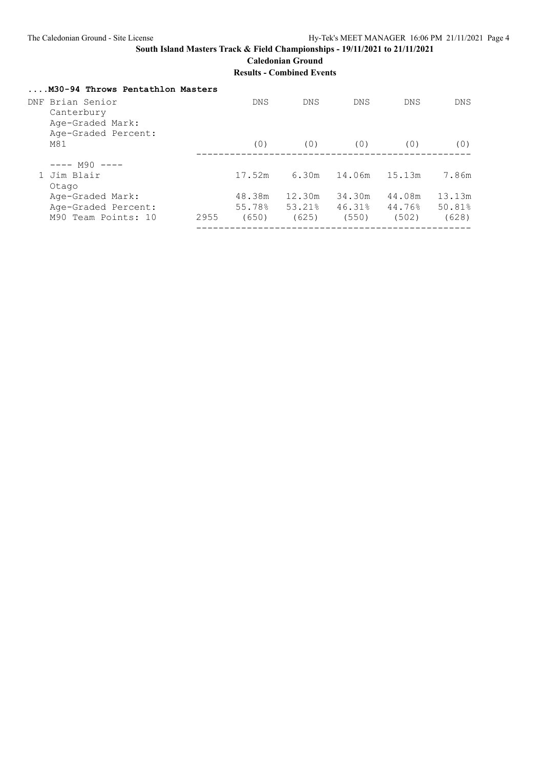#### **South Island Masters Track & Field Championships - 19/11/2021 to 21/11/2021 Caledonian Ground**

**Results - Combined Events**

|                      | M30-94 Throws Pentathlon Masters                   |      |            |            |            |            |            |
|----------------------|----------------------------------------------------|------|------------|------------|------------|------------|------------|
|                      | DNF Brian Senior<br>Canterbury<br>Age-Graded Mark: |      | <b>DNS</b> | <b>DNS</b> | <b>DNS</b> | <b>DNS</b> | <b>DNS</b> |
|                      | Age-Graded Percent:<br>M81                         |      | (0)        | (0)        | (0)        | (0)        | (0)        |
|                      | $---$ M90 $---$                                    |      |            |            |            |            |            |
| 1 Jim Blair<br>Otago |                                                    |      | 17.52m     | 6.30m      | 14.06m     | 15.13m     | 7.86m      |
|                      | Age-Graded Mark:                                   |      | 48.38m     | 12.30m     | 34.30m     | 44.08m     | 13.13m     |
|                      | Age-Graded Percent:                                |      | 55.78%     | 53.21%     | 46.31%     | 44.76%     | 50.81%     |
|                      | M90 Team Points: 10                                | 2955 | (650)      | (625)      | (550)      | (502)      | (628)      |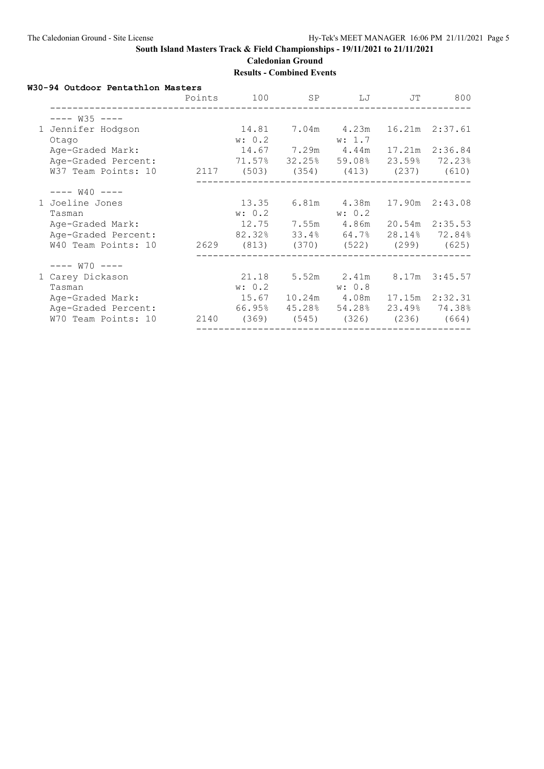**Caledonian Ground Results - Combined Events**

**W30-94 Outdoor Pentathlon Masters**

|                             | Points |                                       | 100 SP                          |             | LJ<br>JT | 800             |
|-----------------------------|--------|---------------------------------------|---------------------------------|-------------|----------|-----------------|
| $-- W35$ $---$              |        |                                       |                                 |             |          |                 |
| 1 Jennifer Hodgson<br>Otago |        | 14.81 7.04m 4.23m<br>w: 0.2           |                                 | w: 1.7      |          | 16.21m  2:37.61 |
| Age-Graded Mark:            |        |                                       | 14.67 7.29m 4.44m               |             |          | 17.21m  2:36.84 |
| Age-Graded Percent:         |        | $71.57\%$ 32.25% 59.08% 23.59% 72.23% |                                 |             |          |                 |
| W37 Team Points: 10         |        | 2117 (503) (354) (413) (237) (610)    |                                 |             |          |                 |
| $--- W40 ---$               |        |                                       |                                 |             |          |                 |
| 1 Joeline Jones             |        | 13.35                                 |                                 | 6.81m 4.38m |          | 17.90m 2:43.08  |
| Tasman                      |        | w: 0.2                                |                                 | w: 0.2      |          |                 |
| Age-Graded Mark:            |        | 12.75 7.55m 4.86m 20.54m 2:35.53      |                                 |             |          |                 |
| Age-Graded Percent:         |        | 82.32% 33.4% 64.7% 28.14% 72.84%      |                                 |             |          |                 |
| W40 Team Points: 10         |        | 2629 (813) (370) (522) (299) (625)    |                                 |             |          |                 |
| $--- W70 ---$               |        |                                       |                                 |             |          |                 |
| 1 Carey Dickason            |        |                                       | 21.18 5.52m 2.41m 8.17m 3:45.57 |             |          |                 |
| Tasman                      |        | w: 0.2                                |                                 | w: 0.8      |          |                 |
| Age-Graded Mark:            |        |                                       |                                 |             |          | 17.15m  2:32.31 |
| Age-Graded Percent:         |        | 66.95% 45.28% 54.28%                  |                                 |             |          | 23.49% 74.38%   |
| W70 Team Points: 10         |        | 2140 (369) (545) (326) (236) (664)    |                                 |             |          |                 |
|                             |        |                                       |                                 |             |          |                 |